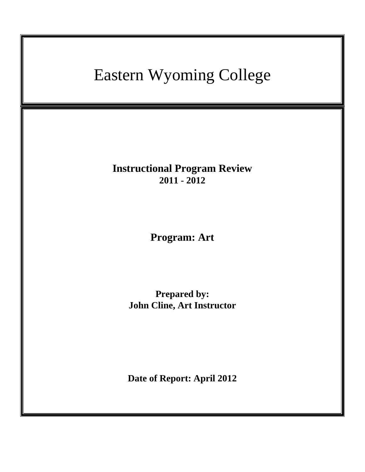# Eastern Wyoming College

**Instructional Program Review 2011 - 2012**

**Program: Art**

**Prepared by: John Cline, Art Instructor**

**Date of Report: April 2012**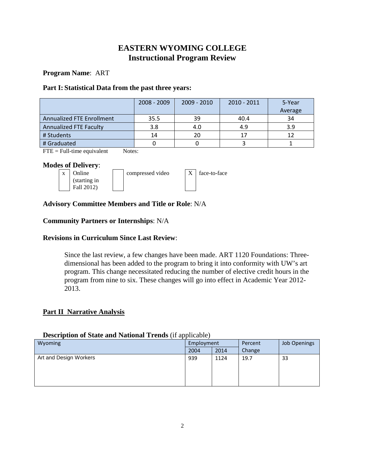## **EASTERN WYOMING COLLEGE Instructional Program Review**

## **Program Name**: ART

## **Part I: Statistical Data from the past three years:**

|                                  | $2008 - 2009$ | $2009 - 2010$ | 2010 - 2011 | 5-Year<br>Average |
|----------------------------------|---------------|---------------|-------------|-------------------|
| <b>Annualized FTE Enrollment</b> | 35.5          | 39            | 40.4        | 34                |
| Annualized FTE Faculty           | 3.8           | 4.0           | 4.9         | 3.9               |
| # Students                       | 14            | 20            | 17          | 12                |
| # Graduated                      |               |               |             |                   |

 $\text{FTE} = \text{Full-time equivalent}$  Notes:

## **Modes of Delivery**:



## **Advisory Committee Members and Title or Role**: N/A

## **Community Partners or Internships**: N/A

## **Revisions in Curriculum Since Last Review**:

Since the last review, a few changes have been made. ART 1120 Foundations: Threedimensional has been added to the program to bring it into conformity with UW's art program. This change necessitated reducing the number of elective credit hours in the program from nine to six. These changes will go into effect in Academic Year 2012- 2013.

## **Part II Narrative Analysis**

## **Description of State and National Trends** (if applicable)

| Wyoming                | Employment |      | Percent | Job Openings |
|------------------------|------------|------|---------|--------------|
|                        | 2004       | 2014 | Change  |              |
| Art and Design Workers | 939        | 1124 | 19.7    | 33           |
|                        |            |      |         |              |
|                        |            |      |         |              |
|                        |            |      |         |              |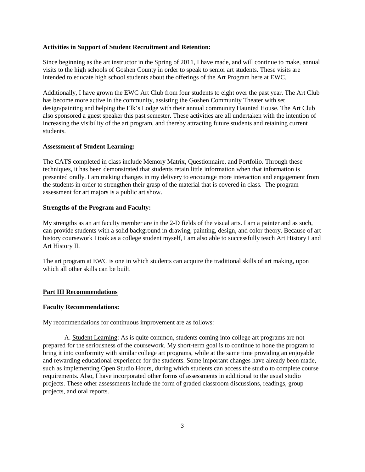#### **Activities in Support of Student Recruitment and Retention:**

Since beginning as the art instructor in the Spring of 2011, I have made, and will continue to make, annual visits to the high schools of Goshen County in order to speak to senior art students. These visits are intended to educate high school students about the offerings of the Art Program here at EWC.

Additionally, I have grown the EWC Art Club from four students to eight over the past year. The Art Club has become more active in the community, assisting the Goshen Community Theater with set design/painting and helping the Elk's Lodge with their annual community Haunted House. The Art Club also sponsored a guest speaker this past semester. These activities are all undertaken with the intention of increasing the visibility of the art program, and thereby attracting future students and retaining current students.

#### **Assessment of Student Learning:**

The CATS completed in class include Memory Matrix, Questionnaire, and Portfolio. Through these techniques, it has been demonstrated that students retain little information when that information is presented orally. I am making changes in my delivery to encourage more interaction and engagement from the students in order to strengthen their grasp of the material that is covered in class. The program assessment for art majors is a public art show.

#### **Strengths of the Program and Faculty:**

My strengths as an art faculty member are in the 2-D fields of the visual arts. I am a painter and as such, can provide students with a solid background in drawing, painting, design, and color theory. Because of art history coursework I took as a college student myself, I am also able to successfully teach Art History I and Art History II.

The art program at EWC is one in which students can acquire the traditional skills of art making, upon which all other skills can be built.

#### **Part III Recommendations**

#### **Faculty Recommendations:**

My recommendations for continuous improvement are as follows:

A. Student Learning: As is quite common, students coming into college art programs are not prepared for the seriousness of the coursework. My short-term goal is to continue to hone the program to bring it into conformity with similar college art programs, while at the same time providing an enjoyable and rewarding educational experience for the students. Some important changes have already been made, such as implementing Open Studio Hours, during which students can access the studio to complete course requirements. Also, I have incorporated other forms of assessments in additional to the usual studio projects. These other assessments include the form of graded classroom discussions, readings, group projects, and oral reports.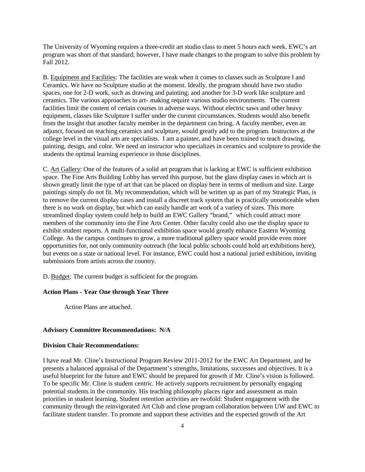The University of Wyoming requires a three-credit art studio class to meet 5 hours each week. EWC's art program was short of that standard; however, I have made changes to the program to solve this problem by Fall 2012.

B. Equipment and Facilities: The facilities are weak when it comes to classes such as Sculpture I and Ceramics. We have no Sculpture studio at the moment. Ideally, the program should have two studio spaces, one for 2-D work, such as drawing and painting; and another for 3-D work like sculpture and ceramics. The various approaches to art- making require various studio environments. The current facilities limit the content of certain courses in adverse ways. Without electric saws and other heavy equipment, classes like Sculpture I suffer under the current circumstances. Students would also benefit from the insight that another faculty member in the department can bring. A faculty member, even an adjunct, focused on teaching ceramics and sculpture, would greatly add to the program. Instructors at the college level in the visual arts are specialists. I am a painter, and have been trained to teach drawing, painting, design, and color. We need an instructor who specializes in ceramics and sculpture to provide the students the optimal learning experience in those disciplines.

C. Art Gallery: One of the features of a solid art program that is lacking at EWC is sufficient exhibition space. The Fine Arts Building Lobby has served this purpose, but the glass display cases in which art is shown greatly limit the type of art that can be placed on display here in terms of medium and size. Large paintings simply do not fit. My recommendation, which will be written up as part of my Strategic Plan, is to remove the current display cases and install a discreet track system that is practically unnoticeable when there is no work on display, but which can easily handle art work of a variety of sizes. This more streamlined display system could help to build an EWC Gallery "brand," which could attract more members of the community into the Fine Arts Center. Other faculty could also use the display space to exhibit student reports. A multi-functional exhibition space would greatly enhance Eastern Wyoming College. As the campus continues to grow, a more traditional gallery space would provide even more opportunities for, not only community outreach (the local public schools could hold art exhibitions here), but events on a state or national level. For instance, EWC could host a national juried exhibition, inviting submissions from artists across the country.

D. Budget: The current budget is sufficient for the program.

#### **Action Plans - Year One through Year Three**

Action Plans are attached.

#### **Advisory Committee Recommendations: N/A**

#### **Division Chair Recommendations:**

I have read Mr. Cline's Instructional Program Review 2011-2012 for the EWC Art Department, and he presents a balanced appraisal of the Department's strengths, limitations, successes and objectives. It is a useful blueprint for the future and EWC should be prepared for growth if Mr. Cline's vision is followed. To be specific Mr. Cline is student centric. He actively supports recruitment by personally engaging potential students in the community. His teaching philosophy places rigor and assessment as main priorities in student learning. Student retention activities are twofold: Student engagement with the community through the reinvigorated Art Club and close program collaboration between UW and EWC to facilitate student transfer. To promote and support these activities and the expected growth of the Art